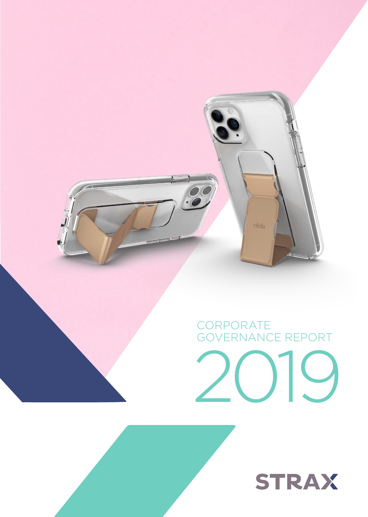

 $\frac{1}{2}$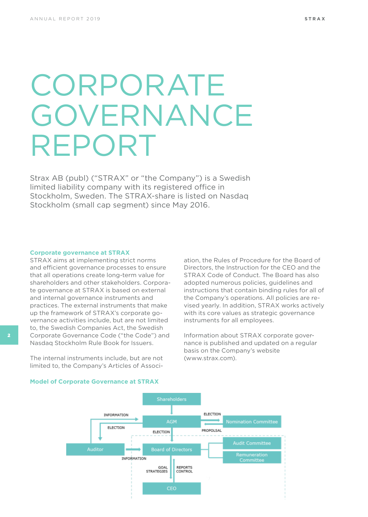# CORPORATE GOVERNANCE REPORT

Strax AB (publ) ("STRAX" or "the Company") is a Swedish limited liability company with its registered office in Stockholm, Sweden. The STRAX-share is listed on Nasdaq Stockholm (small cap segment) since May 2016.

#### **Corporate governance at STRAX**

STRAX aims at implementing strict norms and efficient governance processes to ensure that all operations create long-term value for shareholders and other stakeholders. Corporate governance at STRAX is based on external and internal governance instruments and practices. The external instruments that make up the framework of STRAX's corporate governance activities include, but are not limited to, the Swedish Companies Act, the Swedish Corporate Governance Code ("the Code") and Nasdaq Stockholm Rule Book for Issuers.

The internal instruments include, but are not limited to, the Company's Articles of Association, the Rules of Procedure for the Board of Directors, the Instruction for the CEO and the STRAX Code of Conduct. The Board has also adopted numerous policies, guidelines and instructions that contain binding rules for all of the Company's operations. All policies are revised yearly. In addition, STRAX works actively with its core values as strategic governance instruments for all employees.

Information about STRAX corporate governance is published and updated on a regular basis on the Company's website (www.strax.com).

# **Model of Corporate Governance at STRAX**

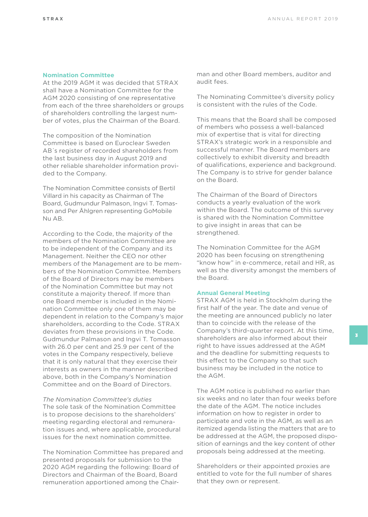# **Nomination Committee**

At the 2019 AGM it was decided that STRAX shall have a Nomination Committee for the AGM 2020 consisting of one representative from each of the three shareholders or groups of shareholders controlling the largest number of votes, plus the Chairman of the Board.

The composition of the Nomination Committee is based on Euroclear Sweden AB´s register of recorded shareholders from the last business day in August 2019 and other reliable shareholder information provided to the Company.

The Nomination Committee consists of Bertil Villard in his capacity as Chairman of The Board, Gudmundur Palmason, Ingvi T. Tomasson and Per Åhlgren representing GoMobile Nu AB.

According to the Code, the majority of the members of the Nomination Committee are to be independent of the Company and its Management. Neither the CEO nor other members of the Management are to be members of the Nomination Committee. Members of the Board of Directors may be members of the Nomination Committee but may not constitute a majority thereof. If more than one Board member is included in the Nomination Committee only one of them may be dependent in relation to the Company's major shareholders, according to the Code. STRAX deviates from these provisions in the Code. Gudmundur Palmason and Ingvi T. Tomasson with 26.0 per cent and 25.9 per cent of the votes in the Company respectively, believe that it is only natural that they exercise their interests as owners in the manner described above, both in the Company's Nomination Committee and on the Board of Directors.

*The Nomination Committee's duties*  The sole task of the Nomination Committee is to propose decisions to the shareholders' meeting regarding electoral and remuneration issues and, where applicable, procedural issues for the next nomination committee.

The Nomination Committee has prepared and presented proposals for submission to the 2020 AGM regarding the following: Board of Directors and Chairman of the Board, Board remuneration apportioned among the Chair-

man and other Board members, auditor and audit fees.

The Nominating Committee's diversity policy is consistent with the rules of the Code.

This means that the Board shall be composed of members who possess a well-balanced mix of expertise that is vital for directing STRAX's strategic work in a responsible and successful manner. The Board members are collectively to exhibit diversity and breadth of qualifications, experience and background. The Company is to strive for gender balance on the Board.

The Chairman of the Board of Directors conducts a yearly evaluation of the work within the Board. The outcome of this survey is shared with the Nomination Committee to give insight in areas that can be strengthened.

The Nomination Committee for the AGM 2020 has been focusing on strengthening "know how" in e-commerce, retail and HR, as well as the diversity amongst the members of the Board.

# **Annual General Meeting**

STRAX AGM is held in Stockholm during the first half of the year. The date and venue of the meeting are announced publicly no later than to coincide with the release of the Company's third-quarter report. At this time, shareholders are also informed about their right to have issues addressed at the AGM and the deadline for submitting requests to this effect to the Company so that such business may be included in the notice to the AGM.

The AGM notice is published no earlier than six weeks and no later than four weeks before the date of the AGM. The notice includes information on how to register in order to participate and vote in the AGM, as well as an itemized agenda listing the matters that are to be addressed at the AGM, the proposed disposition of earnings and the key content of other proposals being addressed at the meeting.

Shareholders or their appointed proxies are entitled to vote for the full number of shares that they own or represent.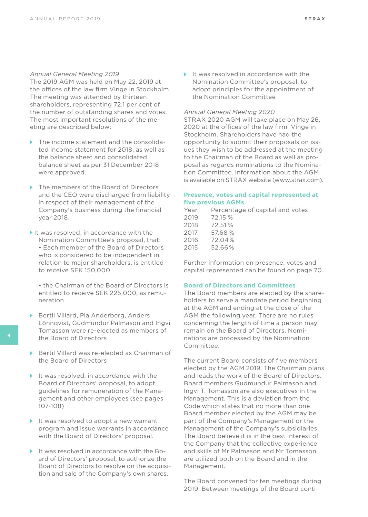#### *Annual General Meeting 2019*

The 2019 AGM was held on May 22, 2019 at the offices of the law firm Vinge in Stockholm. The meeting was attended by thirteen shareholders, representing 72,1 per cent of the number of outstanding shares and votes. The most important resolutions of the meeting are described below:

- ▶ The income statement and the consolidated income statement for 2018, as well as the balance sheet and consolidated balance sheet as per 31 December 2018 were approved.
- ▶ The members of the Board of Directors and the CEO were discharged from liability in respect of their management of the Company's business during the financial year 2018.
- It was resolved, in accordance with the Nomination Committee's proposal, that: • Each member of the Board of Directors who is considered to be independent in relation to major shareholders, is entitled to receive SEK 150,000

• the Chairman of the Board of Directors is entitled to receive SEK 225,000, as remuneration

- Bertil Villard, Pia Anderberg, Anders Lönnqvist, Gudmundur Palmason and Ingvi Tomasson were re-elected as members of the Board of Directors
- Bertil Villard was re-elected as Chairman of the Board of Directors
- $\blacktriangleright$  It was resolved, in accordance with the Board of Directors' proposal, to adopt guidelines for remuneration of the Management and other employees (see pages 107-108)
- It was resolved to adopt a new warrant program and issue warrants in accordance with the Board of Directors' proposal.
- It was resolved in accordance with the Board of Directors' proposal, to authorize the Board of Directors to resolve on the acquisition and sale of the Company's own shares.

It was resolved in accordance with the Nomination Committee's proposal, to adopt principles for the appointment of the Nomination Committee

# *Annual General Meeting 2020*

STRAX 2020 AGM will take place on May 26, 2020 at the offices of the law firm Vinge in Stockholm. Shareholders have had the opportunity to submit their proposals on issues they wish to be addressed at the meeting to the Chairman of the Board as well as proposal as regards nominations to the Nomination Committee. Information about the AGM is available on STRAX website (www.strax.com).

## **Presence, votes and capital represented at five previous AGMs**  ae of capital and votes

| Year | Percentao |
|------|-----------|
| 2019 | 72.15 %   |
| 2018 | 72.51%    |
| 2017 | 57.68%    |
| 2016 | 72.04%    |
| 2015 | 52.66%    |

Further information on presence, votes and capital represented can be found on page 70.

# **Board of Directors and Committees**

The Board members are elected by the shareholders to serve a mandate period beginning at the AGM and ending at the close of the AGM the following year. There are no rules concerning the length of time a person may remain on the Board of Directors. Nominations are processed by the Nomination Committee.

The current Board consists of five members elected by the AGM 2019. The Chairman plans and leads the work of the Board of Directors. Board members Gudmundur Palmason and Ingvi T. Tomasson are also executives in the Management. This is a deviation from the Code which states that no more than one Board member elected by the AGM may be part of the Company's Management or the Management of the Company's subsidiaries. The Board believe it is in the best interest of the Company that the collective experience and skills of Mr Palmason and Mr Tomasson are utilized both on the Board and in the Management.

The Board convened for ten meetings during 2019. Between meetings of the Board conti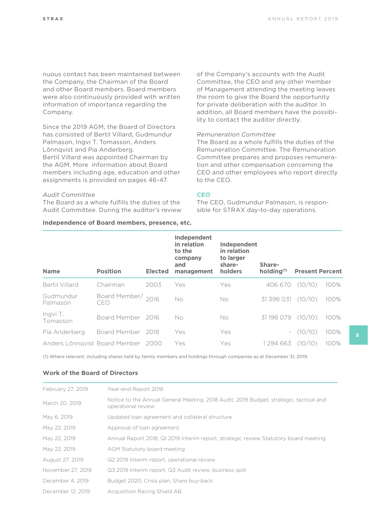nuous contact has been maintained between the Company, the Chairman of the Board and other Board members. Board members were also continuously provided with written information of importance regarding the Company.

Since the 2019 AGM, the Board of Directors has consisted of Bertil Villard, Gudmundur Palmason, Ingvi T. Tomasson, Anders Lönnqvist and Pia Anderberg. Bertil Villard was appointed Chairman by the AGM. More information about Board members including age, education and other assignments is provided on pages 46-47.

#### *Audit Committee*

The Board as a whole fulfills the duties of the Audit Committee. During the auditor's review

of the Company's accounts with the Audit Committee, the CEO and any other member of Management attending the meeting leaves the room to give the Board the opportunity for private deliberation with the auditor. In addition, all Board members have the possibility to contact the auditor directly.

#### *Remuneration Committee*

The Board as a whole fulfills the duties of the Remuneration Committee. The Remuneration Committee prepares and proposes remuneration and other compensation concerning the CEO and other employees who report directly to the CEO.

# **CEO**

The CEO, Gudmundur Palmason, is responsible for STRAX day-to-day operations.

# **Independence of Board members, presence, etc.**

| <b>Name</b>                   | <b>Position</b>      | <b>Elected</b> | Independent<br>in relation<br>to the<br>company<br>and<br>management | Independent<br>in relation<br>to larger<br>share-<br>holders | Share-<br>$h$ olding $(1)$ | <b>Present Percent</b> |      |
|-------------------------------|----------------------|----------------|----------------------------------------------------------------------|--------------------------------------------------------------|----------------------------|------------------------|------|
| Bertil Villard                | Chairman             | 2003           | Yes                                                                  | Yes                                                          | 406 670                    | (10/10)                | 100% |
| Gudmundur<br>Palmason         | Board Member/<br>CEO | 2016           | No                                                                   | No                                                           | 31 398 031                 | (10/10)                | 100% |
| Ingvi T.<br>Tomasson          | Board Member         | 2016           | No                                                                   | No.                                                          | 31 198 079                 | (10/10)                | 100% |
| Pia Anderberg                 | Board Member         | 2018           | Yes                                                                  | Yes                                                          |                            | $- (10/10)$            | 100% |
| Anders Lönngvist Board Member |                      | -2000          | Yes                                                                  | Yes                                                          | 1294 663                   | (10/10)                | 100% |

(1) Where relevant, including shares held by family members and holdings through companies as at December 31, 2019.

# **Work of the Board of Directors**

| February 27, 2019 | Year-end Report 2018                                                                                         |
|-------------------|--------------------------------------------------------------------------------------------------------------|
| March 20, 2019    | Notice to the Annual General Meeting, 2018 Audit, 2019 Budget, strategic, tactical and<br>operational review |
| May 6, 2019       | Updated loan agreement and collateral structure                                                              |
| May 22, 2019      | Approval of loan agreement                                                                                   |
| May 22, 2019      | Annual Report 2018, Q1 2019 Interim report, strategic review Statutory board meeting                         |
| May 22, 2019      | AGM Statutory board meeting                                                                                  |
| August 27, 2019   | Q2 2019 Interim report, operational review                                                                   |
| November 27, 2019 | Q3 2019 Interim report. Q3 Audit review, business split                                                      |
| December 4, 2019  | Budget 2020, Crisis plan, Share buy-back                                                                     |
| December 12, 2019 | Acquisition Racing Shield AB                                                                                 |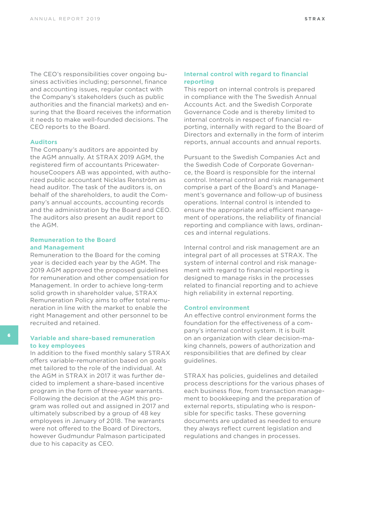The CEO's responsibilities cover ongoing business activities including; personnel, finance and accounting issues, regular contact with the Company's stakeholders (such as public authorities and the financial markets) and ensuring that the Board receives the information it needs to make well-founded decisions. The CEO reports to the Board.

# **Auditors**

The Company's auditors are appointed by the AGM annually. At STRAX 2019 AGM, the registered firm of accountants PricewaterhouseCoopers AB was appointed, with authorized public accountant Nicklas Renström as head auditor. The task of the auditors is, on behalf of the shareholders, to audit the Company's annual accounts, accounting records and the administration by the Board and CEO. The auditors also present an audit report to the AGM.

# **Remuneration to the Board and Management**

Remuneration to the Board for the coming year is decided each year by the AGM. The 2019 AGM approved the proposed guidelines for remuneration and other compensation for Management. In order to achieve long-term solid growth in shareholder value, STRAX Remuneration Policy aims to offer total remuneration in line with the market to enable the right Management and other personnel to be recruited and retained.

# **Variable and share-based remuneration to key employees**

In addition to the fixed monthly salary STRAX offers variable-remuneration based on goals met tailored to the role of the individual. At the AGM in STRAX in 2017 it was further decided to implement a share-based incentive program in the form of three-year warrants. Following the decision at the AGM this program was rolled out and assigned in 2017 and ultimately subscribed by a group of 48 key employees in January of 2018. The warrants were not offered to the Board of Directors. however Gudmundur Palmason participated due to his capacity as CEO.

# **Internal control with regard to financial reporting**

This report on internal controls is prepared in compliance with the The Swedish Annual Accounts Act. and the Swedish Corporate Governance Code and is thereby limited to internal controls in respect of financial reporting, internally with regard to the Board of Directors and externally in the form of interim reports, annual accounts and annual reports.

Pursuant to the Swedish Companies Act and the Swedish Code of Corporate Governance, the Board is responsible for the internal control. Internal control and risk management comprise a part of the Board's and Management's governance and follow-up of business operations. Internal control is intended to ensure the appropriate and efficient management of operations, the reliability of financial reporting and compliance with laws, ordinances and internal regulations.

Internal control and risk management are an integral part of all processes at STRAX. The system of internal control and risk management with regard to financial reporting is designed to manage risks in the processes related to financial reporting and to achieve high reliability in external reporting.

# **Control environment**

An effective control environment forms the foundation for the effectiveness of a company's internal control system. It is built on an organization with clear decision-making channels, powers of authorization and responsibilities that are defined by clear guidelines.

STRAX has policies, guidelines and detailed process descriptions for the various phases of each business flow, from transaction management to bookkeeping and the preparation of external reports, stipulating who is responsible for specific tasks. These governing documents are updated as needed to ensure they always reflect current legislation and regulations and changes in processes.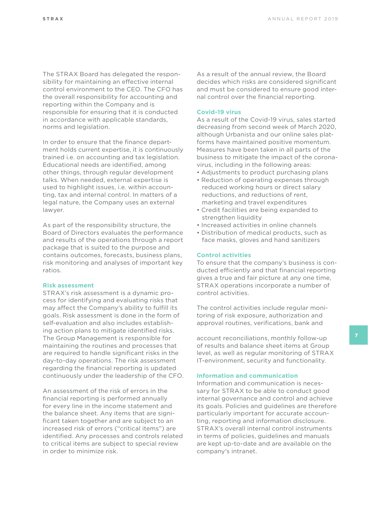The STRAX Board has delegated the responsibility for maintaining an effective internal control environment to the CEO. The CFO has the overall responsibility for accounting and reporting within the Company and is responsible for ensuring that it is conducted in accordance with applicable standards, norms and legislation.

In order to ensure that the finance department holds current expertise, it is continuously trained i.e. on accounting and tax legislation. Educational needs are identified, among other things, through regular development talks. When needed, external expertise is used to highlight issues, i.e. within accounting, tax and internal control. In matters of a legal nature, the Company uses an external lawyer.

As part of the responsibility structure, the Board of Directors evaluates the performance and results of the operations through a report package that is suited to the purpose and contains outcomes, forecasts, business plans, risk monitoring and analyses of important key ratios.

# **Risk assessment**

STRAX's risk assessment is a dynamic process for identifying and evaluating risks that may affect the Company's ability to fulfill its goals. Risk assessment is done in the form of self-evaluation and also includes establishing action plans to mitigate identified risks. The Group Management is responsible for maintaining the routines and processes that are required to handle significant risks in the day-to-day operations. The risk assessment regarding the financial reporting is updated continuously under the leadership of the CFO.

An assessment of the risk of errors in the financial reporting is performed annually for every line in the income statement and the balance sheet. Any items that are significant taken together and are subject to an increased risk of errors ("critical items") are identified. Any processes and controls related to critical items are subject to special review in order to minimize risk.

As a result of the annual review, the Board decides which risks are considered significant and must be considered to ensure good internal control over the financial reporting.

#### **Covid-19 virus**

As a result of the Covid-19 virus, sales started decreasing from second week of March 2020, although Urbanista and our online sales platforms have maintained positive momentum. Measures have been taken in all parts of the business to mitigate the impact of the coronavirus, including in the following areas:

- Adjustments to product purchasing plans
- Reduction of operating expenses through reduced working hours or direct salary reductions, and reductions of rent, marketing and travel expenditures
- Credit facilities are being expanded to strengthen liquidity
- Increased activities in online channels
- Distribution of medical products, such as face masks, gloves and hand sanitizers

# **Control activities**

To ensure that the company's business is conducted efficiently and that financial reporting gives a true and fair picture at any one time, STRAX operations incorporate a number of control activities.

The control activities include regular monitoring of risk exposure, authorization and approval routines, verifications, bank and

account reconciliations, monthly follow-up of results and balance sheet items at Group level, as well as regular monitoring of STRAX IT-environment, security and functionality.

# **Information and communication**

Information and communication is necessary for STRAX to be able to conduct good internal governance and control and achieve its goals. Policies and guidelines are therefore particularly important for accurate accounting, reporting and information disclosure. STRAX's overall internal control instruments in terms of policies, guidelines and manuals are kept up-to-date and are available on the company's intranet.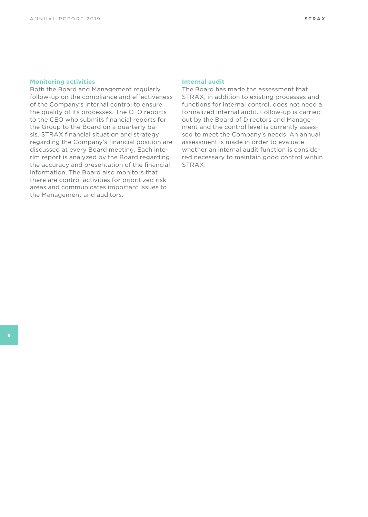#### **Monitoring activities**

Both the Board and Management regularly follow-up on the compliance and effectiveness of the Company's internal control to ensure the quality of its processes. The CFO reports to the CEO who submits financial reports for the Group to the Board on a quarterly basis. STRAX financial situation and strategy regarding the Company's financial position are discussed at every Board meeting. Each interim report is analyzed by the Board regarding the accuracy and presentation of the financial information. The Board also monitors that there are control activities for prioritized risk areas and communicates important issues to the Management and auditors.

# **Internal audit**

The Board has made the assessment that STRAX, in addition to existing processes and functions for internal control, does not need a formalized internal audit. Follow-up is carried out by the Board of Directors and Management and the control level is currently assessed to meet the Company's needs. An annual assessment is made in order to evaluate whether an internal audit function is considered necessary to maintain good control within STRAX.